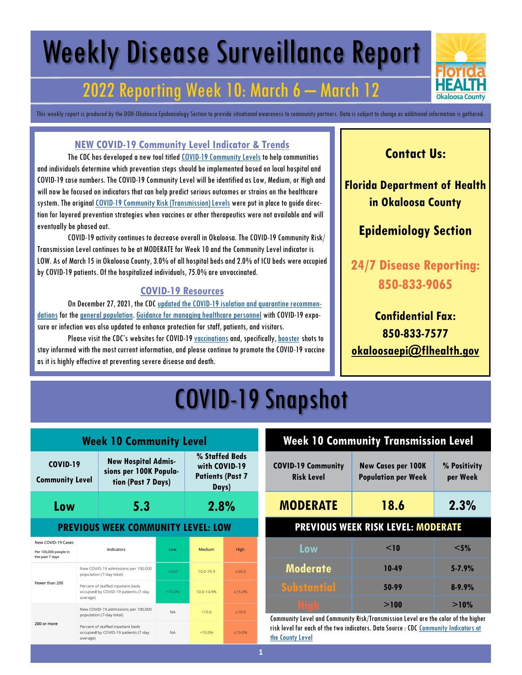# Weekly Disease Surveillance Report

### 2022 Reporting Week 10: March 6 – March 12

This weekly report is produced by the DOH-Okaloosa Epidemiology Section to provide situational awareness to community partners. Data is subject to change as additional information is gathered.

#### **NEW COVID-19 Community Level Indicator & Trends**

The CDC has developed a new tool titled [COVID-19 Community Levels](https://www.cdc.gov/coronavirus/2019-ncov/science/community-levels.html) to help communities and individuals determine which prevention steps should be implemented based on local hospital and COVID-19 case numbers. The COVID-19 Community Level will be identified as Low, Medium, or High and will now be focused on indicators that can help predict serious outcomes or strains on the healthcare system. The original [COVID-19 Community Risk \(Transmission\) Levels](https://covid.cdc.gov/covid-data-tracker/#county-view?list_select_state=Florida&data-type=Risk&list_select_county=12091) were put in place to guide direction for layered prevention strategies when vaccines or other therapeutics were not available and will eventually be phased out.

COVID-19 activity continues to decrease overall in Okaloosa. The COVID-19 Community Risk/ Transmission Level continues to be at MODERATE for Week 10 and the Community Level indicator is LOW. As of March 15 in Okaloosa County, 3.0% of all hospital beds and 2.0% of ICU beds were occupied by COVID-19 patients. Of the hospitalized individuals, 75.0% are unvaccinated.

#### **COVID-19 Resources**

On December 27, 2021, the CDC [updated the COVID-19 isolation and quarantine recommen](https://www.cdc.gov/media/releases/2021/s1227-isolation-quarantine-guidance.html)[dations](https://www.cdc.gov/media/releases/2021/s1227-isolation-quarantine-guidance.html) for the [general population.](https://www.cdc.gov/coronavirus/2019-ncov/your-health/quarantine-isolation.html#closecontact) [Guidance for managing healthcare personnel](https://www.cdc.gov/coronavirus/2019-ncov/hcp/guidance-risk-assesment-hcp.html) with COVID-19 exposure or infection was also updated to enhance protection for staff, patients, and visitors.

Please visit the CDC's websites for COVID-19 [vaccinations](https://www.cdc.gov/coronavirus/2019-ncov/vaccines/expect.html) and, specifically, [booster](https://www.cdc.gov/coronavirus/2019-ncov/vaccines/booster-shot.html) shots to stay informed with the most current information, and please continue to promote the COVID-19 vaccine as it is highly effective at preventing severe disease and death.

### **Contact Us:**

**Florida Department of Health in Okaloosa County**

### **Epidemiology Section**

**24/7 Disease Reporting: 850-833-9065**

**Confidential Fax: 850-833-7577 [okaloosaepi@flhealth.gov](mailto:okaloosaepi@flhealth.gov)**

## COVID-19 Snapshot

| <b>Week 10 Community Level</b>                                        |                                                                                       |                                                                                      |           |                                                                     |               |
|-----------------------------------------------------------------------|---------------------------------------------------------------------------------------|--------------------------------------------------------------------------------------|-----------|---------------------------------------------------------------------|---------------|
| <b>COVID-19</b><br><b>Community Level</b>                             |                                                                                       | <b>New Hospital Admis-</b><br>sions per 100K Popula-<br>tion (Past 7 Days)           |           | % Staffed Beds<br>with COVID-19<br><b>Patients (Past 7</b><br>Days) |               |
| Low                                                                   | 5.3                                                                                   |                                                                                      |           | 2.8%                                                                |               |
| <b>PREVIOUS WEEK COMMUNITY LEVEL: LOW</b>                             |                                                                                       |                                                                                      |           |                                                                     |               |
| <b>New COVID-19 Cases</b><br>Per 100,000 people in<br>the past 7 days | Indicators                                                                            |                                                                                      | Low       | Medium                                                              | <b>High</b>   |
|                                                                       | New COVID-19 admissions per 100,000<br>population (7-day total)                       |                                                                                      | < 10.0    | 10.0-19.9                                                           | >20.0         |
| Fewer than 200<br>average)                                            |                                                                                       | Percent of staffed inpatient beds<br>occupied by COVID-19 patients (7-day<br>< 10.0% |           | 10.0-14.9%                                                          | $\geq 15.0\%$ |
| New COVID-19 admissions per 100,000<br>population (7-day total)       |                                                                                       | <b>NA</b>                                                                            | < 100     | >10.0                                                               |               |
| 200 or more                                                           | Percent of staffed inpatient beds<br>occupied by COVID-19 patients (7-day<br>average) |                                                                                      | <b>NA</b> | < 10.0%                                                             | $\geq 10.0\%$ |

### **Week 10 Community Transmission Level**

| <b>COVID-19 Community</b><br><b>Risk Level</b> | <b>New Cases per 100K</b><br><b>Population per Week</b> | % Positivity<br>per Week |
|------------------------------------------------|---------------------------------------------------------|--------------------------|
| <b>MODERATE</b>                                | 18.6                                                    | 2.3%                     |
| <b>PREVIOUS WEEK RISK LEVEL: MODERATE</b>      |                                                         |                          |
| Low                                            | $<$ 10                                                  | $<$ 5%                   |
| <b>Moderate</b>                                | 10-49                                                   | $5 - 7.9%$               |
| <b>Substantial</b>                             | 50-99                                                   | $8 - 9.9%$               |
| Hi gh                                          | >100                                                    | >10%                     |

Community Level and Community Risk/Transmission Level are the color of the higher risk level for each of the two indicators. Data Source : CDC [Community Indicators at](https://covid.cdc.gov/covid-data-tracker/#county-view?list_select_state=Florida&data-type=Risk&list_select_county=12091)  [the County Level](https://covid.cdc.gov/covid-data-tracker/#county-view?list_select_state=Florida&data-type=Risk&list_select_county=12091)

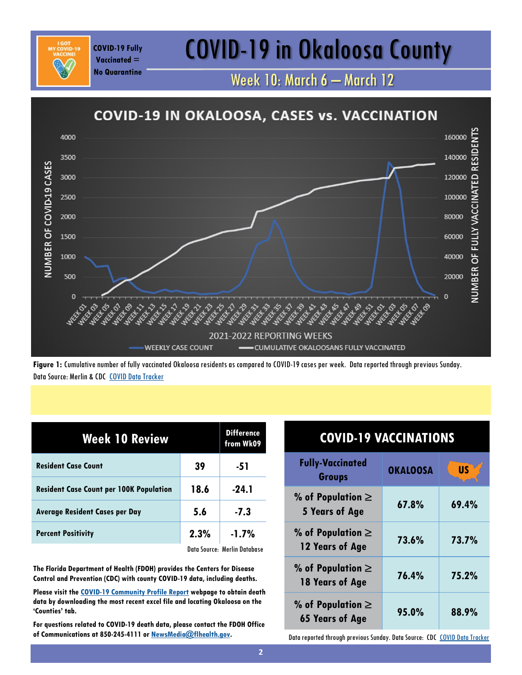## COVID-19 Fully **COVID-19 in Okaloosa County**

Week 10: March 6 – March 12



**Figure 1:** Cumulative number of fully vaccinated Okaloosa residents as compared to COVID-19 cases per week. Data reported through previous Sunday. Data Source: Merlin & CDC [COVID Data Tracker](https://covid.cdc.gov/covid-data-tracker/#vaccinations)

| <b>Week 10 Review</b>                          | <b>Difference</b><br>from Wk09 |                              |
|------------------------------------------------|--------------------------------|------------------------------|
| <b>Resident Case Count</b>                     | 39                             | -51                          |
| <b>Resident Case Count per 100K Population</b> | 18.6                           | $-24.1$                      |
| <b>Average Resident Cases per Day</b>          | 5.6                            | $-7.3$                       |
| <b>Percent Positivity</b>                      | 2.3%                           | $-1.7%$                      |
|                                                |                                | Data Source: Merlin Database |

**Vaccinated = No Quarantine**

**The Florida Department of Health (FDOH) provides the Centers for Disease Control and Prevention (CDC) with county COVID-19 data, including deaths.** 

**Please visit the [COVID-19 Community Profile Report](https://healthdata.gov/Health/COVID-19-Community-Profile-Report/gqxm-d9w9) webpage to obtain death data by downloading the most recent excel file and locating Okaloosa on the 'Counties' tab.** 

**For questions related to COVID-19 death data, please contact the FDOH Office of Communications at 850-245-4111 or [NewsMedia@flhealth.gov.](mailto:NewsMedia@flhealth.gov)**

| <b>COVID-19 VACCINATIONS</b>                                               |                 |           |
|----------------------------------------------------------------------------|-----------------|-----------|
| <b>Fully-Vaccinated</b><br><b>Groups</b>                                   | <b>OKALOOSA</b> | <b>US</b> |
| % of Population $\ge$<br>5 Years of Age                                    | 67.8%           | 69.4%     |
| % of Population $\ge$<br>12 Years of Age                                   | 73.6%           | 73.7%     |
| % of Population $\ge$<br>18 Years of Age                                   | 76.4%           | 75.2%     |
| % of Population $\ge$<br><b>65 Years of Age</b>                            | 95.0%           | 88.9%     |
| Data reported through previous Sunday. Data Source: CDC COVID Data Tracker |                 |           |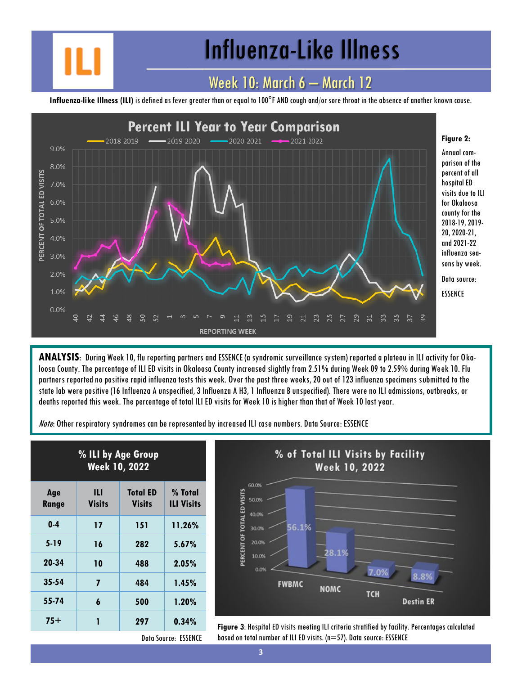## Influenza-Like Illness

### Week 10: March 6 – March 12

**Influenza-like Illness (ILI)** is defined as fever greater than or equal to 100°F AND cough and/or sore throat in the absence of another known cause.



**ANALYSIS**: During Week 10, flu reporting partners and ESSENCE (a syndromic surveillance system) reported a plateau in ILI activity for Okaloosa County. The percentage of ILI ED visits in Okaloosa County increased slightly from 2.51% during Week 09 to 2.59% during Week 10. Flu partners reported no positive rapid influenza tests this week. Over the past three weeks, 20 out of 123 influenza specimens submitted to the state lab were positive (16 Influenza A unspecified, 3 Influenza A H3, 1 Influenza B unspecified). There were no ILI admissions, outbreaks, or deaths reported this week. The percentage of total ILI ED visits for Week 10 is higher than that of Week 10 last year.

Note: Other respiratory syndromes can be represented by increased ILI case numbers. Data Source: ESSENCE

| % ILI by Age Group<br><b>Week 10, 2022</b> |                    |                                  |                              |
|--------------------------------------------|--------------------|----------------------------------|------------------------------|
| Age<br>Range                               | Ш<br><b>Visits</b> | <b>Total ED</b><br><b>Visits</b> | % Total<br><b>ILI Visits</b> |
| $0-4$                                      | 17                 | 151                              | 11.26%                       |
| $5 - 19$                                   | 16                 | 282                              | 5.67%                        |
| 20-34                                      | 10                 | 488                              | $2.05\%$                     |
| 35-54                                      | 7                  | 484                              | 1.45%                        |
| 55-74                                      | 6                  | 500                              | 1.20%                        |
| 75+                                        | 1                  | 297                              | 0.34%                        |



**75+ <sup>1</sup> <sup>297</sup> 0.34% Figure 3**: Hospital ED visits meeting ILI criteria stratified by facility. Percentages calculated based on total number of ILI ED visits. (n=57). Data source: ESSENCE

Data Source: ESSENCE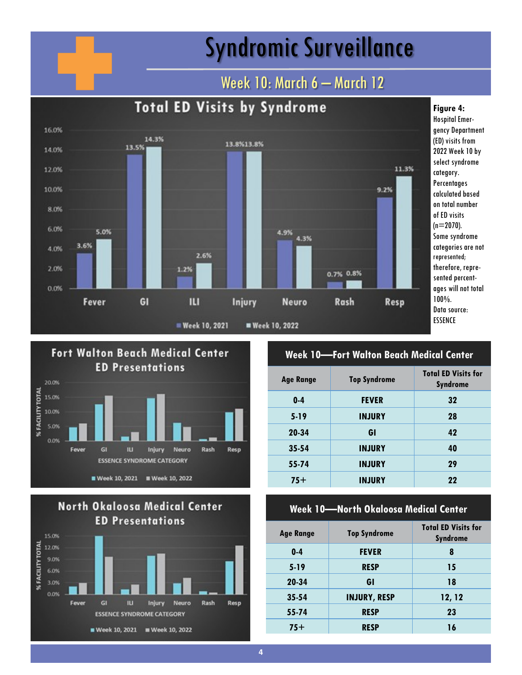## Syndromic Surveillance

### Week 10: March 6 - March 12







### **Week 10—Fort Walton Beach Medical Center**

| <b>Top Syndrome</b> | <b>Total ED Visits for</b><br><b>Syndrome</b> |
|---------------------|-----------------------------------------------|
| <b>FEVER</b>        | 32                                            |
| <b>INJURY</b>       | 28                                            |
| GI                  | 42                                            |
| <b>INJURY</b>       | 40                                            |
| <b>INJURY</b>       | 29                                            |
| <b>INJURY</b>       | 22                                            |
|                     |                                               |

#### **Week 10—North Okaloosa Medical Center**

| <b>Age Range</b> | <b>Top Syndrome</b> | <b>Total ED Visits for</b><br><b>Syndrome</b> |
|------------------|---------------------|-----------------------------------------------|
| $0 - 4$          | <b>FEVER</b>        | 8                                             |
| $5-19$           | <b>RESP</b>         | 15                                            |
| 20-34            | GI                  | 18                                            |
| $35 - 54$        | <b>INJURY, RESP</b> | 12, 12                                        |
| 55-74            | <b>RESP</b>         | 23                                            |
| $75+$            | <b>RESP</b>         | 16                                            |